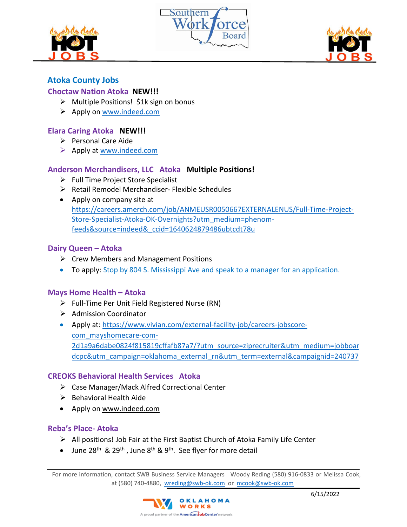





# **Atoka County Jobs**

## **Choctaw Nation Atoka NEW!!!**

- $\triangleright$  Multiple Positions! \$1k sign on bonus
- $\triangleright$  Apply on [www.indeed.com](http://www.indeed.com/)

#### **Elara Caring Atoka NEW!!!**

- $\triangleright$  Personal Care Aide
- $\triangleright$  Apply at [www.indeed.com](http://www.indeed.com/)

## **Anderson Merchandisers, LLC Atoka Multiple Positions!**

- $\triangleright$  Full Time Project Store Specialist
- $\triangleright$  Retail Remodel Merchandiser- Flexible Schedules
- Apply on company site at [https://careers.amerch.com/job/ANMEUSR0050667EXTERNALENUS/Full-Time-Project-](https://careers.amerch.com/job/ANMEUSR0050667EXTERNALENUS/Full-Time-Project-Store-Specialist-Atoka-OK-Overnights?utm_medium=phenom-feeds&source=indeed&_ccid=1640624879486ubtcdt78u)[Store-Specialist-Atoka-OK-Overnights?utm\\_medium=phenom](https://careers.amerch.com/job/ANMEUSR0050667EXTERNALENUS/Full-Time-Project-Store-Specialist-Atoka-OK-Overnights?utm_medium=phenom-feeds&source=indeed&_ccid=1640624879486ubtcdt78u)[feeds&source=indeed&\\_ccid=1640624879486ubtcdt78u](https://careers.amerch.com/job/ANMEUSR0050667EXTERNALENUS/Full-Time-Project-Store-Specialist-Atoka-OK-Overnights?utm_medium=phenom-feeds&source=indeed&_ccid=1640624879486ubtcdt78u)

## **Dairy Queen – Atoka**

- $\triangleright$  Crew Members and Management Positions
- To apply: Stop by 804 S. Mississippi Ave and speak to a manager for an application.

### **Mays Home Health – Atoka**

- $\triangleright$  Full-Time Per Unit Field Registered Nurse (RN)
- $\triangleright$  Admission Coordinator
- Apply at: [https://www.vivian.com/external-facility-job/careers-jobscore](https://www.vivian.com/external-facility-job/careers-jobscore-com_mayshomecare-com-2d1a9a6dabe0824f815819cffafb87a7/?utm_source=ziprecruiter&utm_medium=jobboardcpc&utm_campaign=oklahoma_external_rn&utm_term=external&campaignid=240737)[com\\_mayshomecare-com-](https://www.vivian.com/external-facility-job/careers-jobscore-com_mayshomecare-com-2d1a9a6dabe0824f815819cffafb87a7/?utm_source=ziprecruiter&utm_medium=jobboardcpc&utm_campaign=oklahoma_external_rn&utm_term=external&campaignid=240737)[2d1a9a6dabe0824f815819cffafb87a7/?utm\\_source=ziprecruiter&utm\\_medium=jobboar](https://www.vivian.com/external-facility-job/careers-jobscore-com_mayshomecare-com-2d1a9a6dabe0824f815819cffafb87a7/?utm_source=ziprecruiter&utm_medium=jobboardcpc&utm_campaign=oklahoma_external_rn&utm_term=external&campaignid=240737) [dcpc&utm\\_campaign=oklahoma\\_external\\_rn&utm\\_term=external&campaignid=240737](https://www.vivian.com/external-facility-job/careers-jobscore-com_mayshomecare-com-2d1a9a6dabe0824f815819cffafb87a7/?utm_source=ziprecruiter&utm_medium=jobboardcpc&utm_campaign=oklahoma_external_rn&utm_term=external&campaignid=240737)

### **CREOKS Behavioral Health Services Atoka**

- Case Manager/Mack Alfred Correctional Center
- $\triangleright$  Behavioral Health Aide
- Apply on [www.indeed.com](http://www.indeed.com/)

### **Reba's Place- Atoka**

- $\triangleright$  All positions! Job Fair at the First Baptist Church of Atoka Family Life Center
- June  $28^{th}$  &  $29^{th}$ , June  $8^{th}$  &  $9^{th}$ . See flyer for more detail

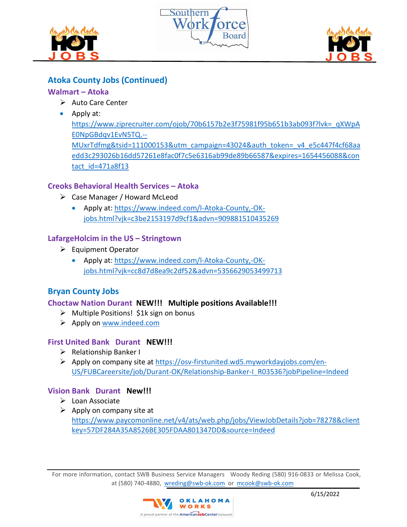





# **Atoka County Jobs (Continued)**

## **Walmart – Atoka**

- $\triangleright$  Auto Care Center
- Apply at:

[https://www.ziprecruiter.com/ojob/70b6157b2e3f75981f95b651b3ab093f?lvk=\\_qXWpA](https://www.ziprecruiter.com/ojob/70b6157b2e3f75981f95b651b3ab093f?lvk=_qXWpAE0NpGBdqv1EvN5TQ.--MUxrTdfmg&tsid=111000153&utm_campaign=43024&auth_token=_v4_e5c447f4cf68aaedd3c293026b16dd57261e8fac0f7c5e6316ab99de89b66587&expires=1654456088&contact_id=471a8f13) [E0NpGBdqv1EvN5TQ.--](https://www.ziprecruiter.com/ojob/70b6157b2e3f75981f95b651b3ab093f?lvk=_qXWpAE0NpGBdqv1EvN5TQ.--MUxrTdfmg&tsid=111000153&utm_campaign=43024&auth_token=_v4_e5c447f4cf68aaedd3c293026b16dd57261e8fac0f7c5e6316ab99de89b66587&expires=1654456088&contact_id=471a8f13) [MUxrTdfmg&tsid=111000153&utm\\_campaign=43024&auth\\_token=\\_v4\\_e5c447f4cf68aa](https://www.ziprecruiter.com/ojob/70b6157b2e3f75981f95b651b3ab093f?lvk=_qXWpAE0NpGBdqv1EvN5TQ.--MUxrTdfmg&tsid=111000153&utm_campaign=43024&auth_token=_v4_e5c447f4cf68aaedd3c293026b16dd57261e8fac0f7c5e6316ab99de89b66587&expires=1654456088&contact_id=471a8f13) [edd3c293026b16dd57261e8fac0f7c5e6316ab99de89b66587&expires=1654456088&con](https://www.ziprecruiter.com/ojob/70b6157b2e3f75981f95b651b3ab093f?lvk=_qXWpAE0NpGBdqv1EvN5TQ.--MUxrTdfmg&tsid=111000153&utm_campaign=43024&auth_token=_v4_e5c447f4cf68aaedd3c293026b16dd57261e8fac0f7c5e6316ab99de89b66587&expires=1654456088&contact_id=471a8f13) [tact\\_id=471a8f13](https://www.ziprecruiter.com/ojob/70b6157b2e3f75981f95b651b3ab093f?lvk=_qXWpAE0NpGBdqv1EvN5TQ.--MUxrTdfmg&tsid=111000153&utm_campaign=43024&auth_token=_v4_e5c447f4cf68aaedd3c293026b16dd57261e8fac0f7c5e6316ab99de89b66587&expires=1654456088&contact_id=471a8f13)

## **Creoks Behavioral Health Services – Atoka**

- Case Manager / Howard McLeod
	- Apply at: [https://www.indeed.com/l-Atoka-County,-OK](https://www.indeed.com/l-Atoka-County,-OK-jobs.html?vjk=c3be2153197d9cf1&advn=909881510435269)[jobs.html?vjk=c3be2153197d9cf1&advn=909881510435269](https://www.indeed.com/l-Atoka-County,-OK-jobs.html?vjk=c3be2153197d9cf1&advn=909881510435269)

## **[LafargeHolcim in the US](https://www.indeed.com/cmp/Holcim?campaignid=mobvjcmp&from=mobviewjob&tk=1g4dsgcibr09i800&fromjk=73b0684a7bffa307) – Stringtown**

- $\triangleright$  Equipment Operator
	- Apply at: [https://www.indeed.com/l-Atoka-County,-OK](https://www.indeed.com/l-Atoka-County,-OK-jobs.html?vjk=cc8d7d8ea9c2df52&advn=5356629053499713)[jobs.html?vjk=cc8d7d8ea9c2df52&advn=5356629053499713](https://www.indeed.com/l-Atoka-County,-OK-jobs.html?vjk=cc8d7d8ea9c2df52&advn=5356629053499713)

# **Bryan County Jobs**

## **Choctaw Nation Durant NEW!!! Multiple positions Available!!!**

- $\triangleright$  Multiple Positions! \$1k sign on bonus
- $\triangleright$  Apply on [www.indeed.com](http://www.indeed.com/)

## **First United Bank Durant NEW!!!**

- $\triangleright$  Relationship Banker I
- Apply on company site at [https://osv-firstunited.wd5.myworkdayjobs.com/en-](https://osv-firstunited.wd5.myworkdayjobs.com/en-US/FUBCareersite/job/Durant-OK/Relationship-Banker-I_R03536?jobPipeline=Indeed)[US/FUBCareersite/job/Durant-OK/Relationship-Banker-I\\_R03536?jobPipeline=Indeed](https://osv-firstunited.wd5.myworkdayjobs.com/en-US/FUBCareersite/job/Durant-OK/Relationship-Banker-I_R03536?jobPipeline=Indeed)

### **Vision Bank Durant New!!!**

- $\triangleright$  Loan Associate
- $\triangleright$  Apply on company site at [https://www.paycomonline.net/v4/ats/web.php/jobs/ViewJobDetails?job=78278&client](https://www.paycomonline.net/v4/ats/web.php/jobs/ViewJobDetails?job=78278&clientkey=57DF284A35A8526BE305FDAA801347DD&source=Indeed) [key=57DF284A35A8526BE305FDAA801347DD&source=Indeed](https://www.paycomonline.net/v4/ats/web.php/jobs/ViewJobDetails?job=78278&clientkey=57DF284A35A8526BE305FDAA801347DD&source=Indeed)

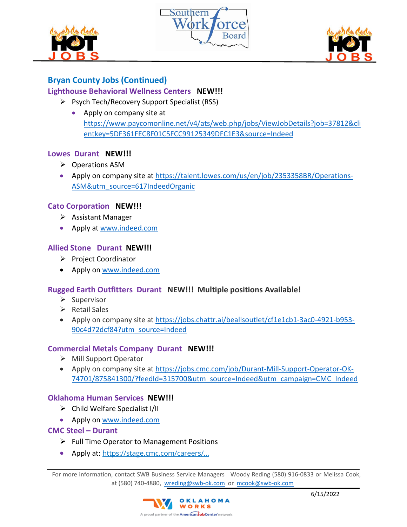





# **Bryan County Jobs (Continued)**

## **Lighthouse Behavioral Wellness Centers NEW!!!**

- $\triangleright$  Psych Tech/Recovery Support Specialist (RSS)
	- Apply on company site at [https://www.paycomonline.net/v4/ats/web.php/jobs/ViewJobDetails?job=37812&cli](https://www.paycomonline.net/v4/ats/web.php/jobs/ViewJobDetails?job=37812&clientkey=5DF361FEC8F01C5FCC99125349DFC1E3&source=Indeed) [entkey=5DF361FEC8F01C5FCC99125349DFC1E3&source=Indeed](https://www.paycomonline.net/v4/ats/web.php/jobs/ViewJobDetails?job=37812&clientkey=5DF361FEC8F01C5FCC99125349DFC1E3&source=Indeed)

### **Lowes Durant NEW!!!**

- ▶ Operations ASM
- Apply on company site at [https://talent.lowes.com/us/en/job/2353358BR/Operations-](https://talent.lowes.com/us/en/job/2353358BR/Operations-ASM&utm_source=617IndeedOrganic)[ASM&utm\\_source=617IndeedOrganic](https://talent.lowes.com/us/en/job/2353358BR/Operations-ASM&utm_source=617IndeedOrganic)

#### **Cato Corporation NEW!!!**

- $\triangleright$  Assistant Manager
- Apply at [www.indeed.com](http://www.indeed.com/)

### **Allied Stone Durant NEW!!!**

- Project Coordinator
- Apply on [www.indeed.com](http://www.indeed.com/)

### **Rugged Earth Outfitters Durant NEW!!! Multiple positions Available!**

- $\triangleright$  Supervisor
- $\triangleright$  Retail Sales
- Apply on company site at [https://jobs.chattr.ai/beallsoutlet/cf1e1cb1-3ac0-4921-b953-](https://jobs.chattr.ai/beallsoutlet/cf1e1cb1-3ac0-4921-b953-90c4d72dcf84?utm_source=Indeed) [90c4d72dcf84?utm\\_source=Indeed](https://jobs.chattr.ai/beallsoutlet/cf1e1cb1-3ac0-4921-b953-90c4d72dcf84?utm_source=Indeed)

### **Commercial Metals Company Durant NEW!!!**

- $\triangleright$  Mill Support Operator
- Apply on company site at [https://jobs.cmc.com/job/Durant-Mill-Support-Operator-OK-](https://jobs.cmc.com/job/Durant-Mill-Support-Operator-OK-74701/875841300/?feedId=315700&utm_source=Indeed&utm_campaign=CMC_Indeed)[74701/875841300/?feedId=315700&utm\\_source=Indeed&utm\\_campaign=CMC\\_Indeed](https://jobs.cmc.com/job/Durant-Mill-Support-Operator-OK-74701/875841300/?feedId=315700&utm_source=Indeed&utm_campaign=CMC_Indeed)

### **Oklahoma Human Services NEW!!!**

- $\triangleright$  Child Welfare Specialist I/II
- Apply on [www.indeed.com](http://www.indeed.com/)

### **CMC Steel – Durant**

- $\triangleright$  Full Time Operator to Management Positions
- Apply at: [https://stage.cmc.com/careers/...](https://stage.cmc.com/careers/Durant-OK.aspx)

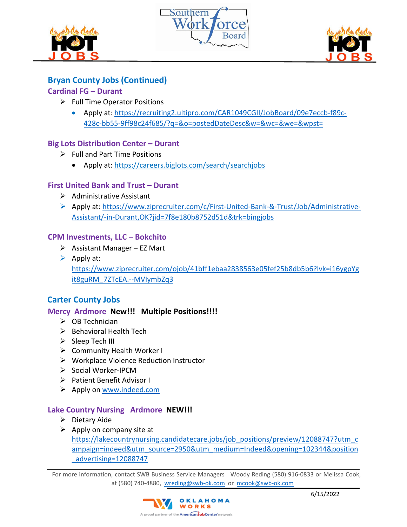





# **Bryan County Jobs (Continued)**

## **Cardinal FG – Durant**

- $\triangleright$  Full Time Operator Positions
	- Apply at: [https://recruiting2.ultipro.com/CAR1049CGII/JobBoard/09e7eccb-f89c-](https://recruiting2.ultipro.com/CAR1049CGII/JobBoard/09e7eccb-f89c-428c-bb55-9ff98c24f685/?q=&o=postedDateDesc&w=&wc=&we=&wpst=)[428c-bb55-9ff98c24f685/?q=&o=postedDateDesc&w=&wc=&we=&wpst=](https://recruiting2.ultipro.com/CAR1049CGII/JobBoard/09e7eccb-f89c-428c-bb55-9ff98c24f685/?q=&o=postedDateDesc&w=&wc=&we=&wpst=)

## **Big Lots Distribution Center – Durant**

- $\triangleright$  Full and Part Time Positions
	- Apply at: https://careers.biglots.com/search/searchjobs

### **First United Bank and Trust – Durant**

- $\triangleright$  Administrative Assistant
- Apply at: [https://www.ziprecruiter.com/c/First-United-Bank-&-Trust/Job/Administrative-](https://www.ziprecruiter.com/c/First-United-Bank-&-Trust/Job/Administrative-Assistant/-in-Durant,OK?jid=7f8e180b8752d51d&trk=bingjobs)[Assistant/-in-Durant,OK?jid=7f8e180b8752d51d&trk=bingjobs](https://www.ziprecruiter.com/c/First-United-Bank-&-Trust/Job/Administrative-Assistant/-in-Durant,OK?jid=7f8e180b8752d51d&trk=bingjobs)

### **CPM Investments, LLC – Bokchito**

- $\triangleright$  Assistant Manager EZ Mart
- $\triangleright$  Apply at: [https://www.ziprecruiter.com/ojob/41bff1ebaa2838563e05fef25b8db5b6?lvk=i16ygpYg](https://www.ziprecruiter.com/ojob/41bff1ebaa2838563e05fef25b8db5b6?lvk=i16ygpYgit8guRM_7ZTcEA.--MVIymbZq3) [it8guRM\\_7ZTcEA.--MVIymbZq3](https://www.ziprecruiter.com/ojob/41bff1ebaa2838563e05fef25b8db5b6?lvk=i16ygpYgit8guRM_7ZTcEA.--MVIymbZq3)

# **Carter County Jobs**

### **Mercy Ardmore New!!! Multiple Positions!!!!**

- $\triangleright$  OB Technician
- $\triangleright$  Behavioral Health Tech
- $\triangleright$  Sleep Tech III
- $\triangleright$  Community Health Worker I
- Workplace Violence Reduction Instructor
- Social Worker-IPCM
- ▶ Patient Benefit Advisor I
- $\triangleright$  Apply on [www.indeed.com](http://www.indeed.com/)

### **Lake Country Nursing Ardmore NEW!!!**

- $\triangleright$  Dietary Aide
- $\triangleright$  Apply on company site at [https://lakecountrynursing.candidatecare.jobs/job\\_positions/preview/12088747?utm\\_c](https://lakecountrynursing.candidatecare.jobs/job_positions/preview/12088747?utm_campaign=indeed&utm_source=2950&utm_medium=Indeed&opening=102344&position_advertising=12088747) [ampaign=indeed&utm\\_source=2950&utm\\_medium=Indeed&opening=102344&position](https://lakecountrynursing.candidatecare.jobs/job_positions/preview/12088747?utm_campaign=indeed&utm_source=2950&utm_medium=Indeed&opening=102344&position_advertising=12088747) [\\_advertising=12088747](https://lakecountrynursing.candidatecare.jobs/job_positions/preview/12088747?utm_campaign=indeed&utm_source=2950&utm_medium=Indeed&opening=102344&position_advertising=12088747)

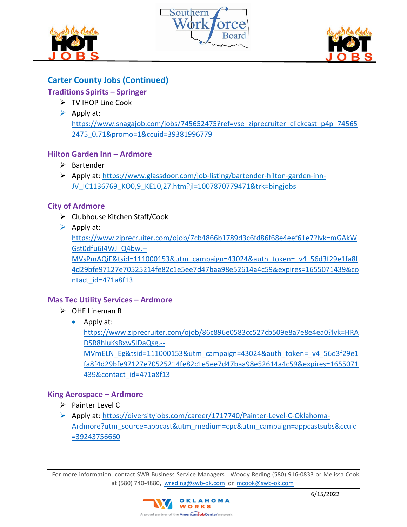





# **Carter County Jobs (Continued)**

# **Traditions Spirits – Springer**

- > TV IHOP Line Cook
- $\triangleright$  Apply at:

[https://www.snagajob.com/jobs/745652475?ref=vse\\_ziprecruiter\\_clickcast\\_p4p\\_74565](https://www.snagajob.com/jobs/745652475?ref=vse_ziprecruiter_clickcast_p4p_745652475_0.71&promo=1&ccuid=39381996779) [2475\\_0.71&promo=1&ccuid=39381996779](https://www.snagajob.com/jobs/745652475?ref=vse_ziprecruiter_clickcast_p4p_745652475_0.71&promo=1&ccuid=39381996779)

## **Hilton Garden Inn – Ardmore**

- $\triangleright$  Bartender
- Apply at: https://www.glassdoor.com/job-listing/bartender-hilton-garden-inn-JV\_IC1136769\_KO0,9\_KE10,27.htm?jl=1007870779471&trk=bingjobs

## **City of Ardmore**

- $\triangleright$  Clubhouse Kitchen Staff/Cook
- $\triangleright$  Apply at:

[https://www.ziprecruiter.com/ojob/7cb4866b1789d3c6fd86f68e4eef61e7?lvk=mGAkW](https://www.ziprecruiter.com/ojob/7cb4866b1789d3c6fd86f68e4eef61e7?lvk=mGAkWGst0dfu6I4WJ_Q4bw.--MVsPmAQiF&tsid=111000153&utm_campaign=43024&auth_token=_v4_56d3f29e1fa8f4d29bfe97127e70525214fe82c1e5ee7d47baa98e52614a4c59&expires=1655071439&contact_id=471a8f13) [Gst0dfu6I4WJ\\_Q4bw.--](https://www.ziprecruiter.com/ojob/7cb4866b1789d3c6fd86f68e4eef61e7?lvk=mGAkWGst0dfu6I4WJ_Q4bw.--MVsPmAQiF&tsid=111000153&utm_campaign=43024&auth_token=_v4_56d3f29e1fa8f4d29bfe97127e70525214fe82c1e5ee7d47baa98e52614a4c59&expires=1655071439&contact_id=471a8f13)

[MVsPmAQiF&tsid=111000153&utm\\_campaign=43024&auth\\_token=\\_v4\\_56d3f29e1fa8f](https://www.ziprecruiter.com/ojob/7cb4866b1789d3c6fd86f68e4eef61e7?lvk=mGAkWGst0dfu6I4WJ_Q4bw.--MVsPmAQiF&tsid=111000153&utm_campaign=43024&auth_token=_v4_56d3f29e1fa8f4d29bfe97127e70525214fe82c1e5ee7d47baa98e52614a4c59&expires=1655071439&contact_id=471a8f13) [4d29bfe97127e70525214fe82c1e5ee7d47baa98e52614a4c59&expires=1655071439&co](https://www.ziprecruiter.com/ojob/7cb4866b1789d3c6fd86f68e4eef61e7?lvk=mGAkWGst0dfu6I4WJ_Q4bw.--MVsPmAQiF&tsid=111000153&utm_campaign=43024&auth_token=_v4_56d3f29e1fa8f4d29bfe97127e70525214fe82c1e5ee7d47baa98e52614a4c59&expires=1655071439&contact_id=471a8f13) [ntact\\_id=471a8f13](https://www.ziprecruiter.com/ojob/7cb4866b1789d3c6fd86f68e4eef61e7?lvk=mGAkWGst0dfu6I4WJ_Q4bw.--MVsPmAQiF&tsid=111000153&utm_campaign=43024&auth_token=_v4_56d3f29e1fa8f4d29bfe97127e70525214fe82c1e5ee7d47baa98e52614a4c59&expires=1655071439&contact_id=471a8f13)

## **Mas Tec Utility Services – Ardmore**

- $\triangleright$  OHE Lineman B
	- Apply at:

[https://www.ziprecruiter.com/ojob/86c896e0583cc527cb509e8a7e8e4ea0?lvk=HRA](https://www.ziprecruiter.com/ojob/86c896e0583cc527cb509e8a7e8e4ea0?lvk=HRADSR8hluKsBxwSIDaQsg.--MVmELN_Eg&tsid=111000153&utm_campaign=43024&auth_token=_v4_56d3f29e1fa8f4d29bfe97127e70525214fe82c1e5ee7d47baa98e52614a4c59&expires=1655071439&contact_id=471a8f13) [DSR8hluKsBxwSIDaQsg.--](https://www.ziprecruiter.com/ojob/86c896e0583cc527cb509e8a7e8e4ea0?lvk=HRADSR8hluKsBxwSIDaQsg.--MVmELN_Eg&tsid=111000153&utm_campaign=43024&auth_token=_v4_56d3f29e1fa8f4d29bfe97127e70525214fe82c1e5ee7d47baa98e52614a4c59&expires=1655071439&contact_id=471a8f13)

[MVmELN\\_Eg&tsid=111000153&utm\\_campaign=43024&auth\\_token=\\_v4\\_56d3f29e1](https://www.ziprecruiter.com/ojob/86c896e0583cc527cb509e8a7e8e4ea0?lvk=HRADSR8hluKsBxwSIDaQsg.--MVmELN_Eg&tsid=111000153&utm_campaign=43024&auth_token=_v4_56d3f29e1fa8f4d29bfe97127e70525214fe82c1e5ee7d47baa98e52614a4c59&expires=1655071439&contact_id=471a8f13) [fa8f4d29bfe97127e70525214fe82c1e5ee7d47baa98e52614a4c59&expires=1655071](https://www.ziprecruiter.com/ojob/86c896e0583cc527cb509e8a7e8e4ea0?lvk=HRADSR8hluKsBxwSIDaQsg.--MVmELN_Eg&tsid=111000153&utm_campaign=43024&auth_token=_v4_56d3f29e1fa8f4d29bfe97127e70525214fe82c1e5ee7d47baa98e52614a4c59&expires=1655071439&contact_id=471a8f13) [439&contact\\_id=471a8f13](https://www.ziprecruiter.com/ojob/86c896e0583cc527cb509e8a7e8e4ea0?lvk=HRADSR8hluKsBxwSIDaQsg.--MVmELN_Eg&tsid=111000153&utm_campaign=43024&auth_token=_v4_56d3f29e1fa8f4d29bfe97127e70525214fe82c1e5ee7d47baa98e52614a4c59&expires=1655071439&contact_id=471a8f13)

### **King Aerospace – Ardmore**

- $\triangleright$  Painter Level C
- Apply at: [https://diversityjobs.com/career/1717740/Painter-Level-C-Oklahoma-](https://diversityjobs.com/career/1717740/Painter-Level-C-Oklahoma-Ardmore?utm_source=appcast&utm_medium=cpc&utm_campaign=appcastsubs&ccuid=39243756660)[Ardmore?utm\\_source=appcast&utm\\_medium=cpc&utm\\_campaign=appcastsubs&ccuid](https://diversityjobs.com/career/1717740/Painter-Level-C-Oklahoma-Ardmore?utm_source=appcast&utm_medium=cpc&utm_campaign=appcastsubs&ccuid=39243756660) [=39243756660](https://diversityjobs.com/career/1717740/Painter-Level-C-Oklahoma-Ardmore?utm_source=appcast&utm_medium=cpc&utm_campaign=appcastsubs&ccuid=39243756660)

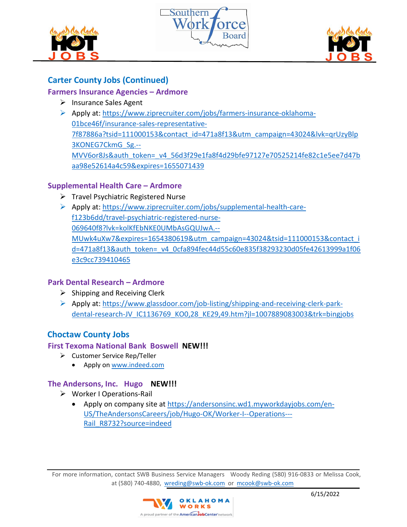





# **Carter County Jobs (Continued)**

## **Farmers Insurance Agencies – Ardmore**

- $\triangleright$  Insurance Sales Agent
- Apply at: [https://www.ziprecruiter.com/jobs/farmers-insurance-oklahoma-](https://www.ziprecruiter.com/jobs/farmers-insurance-oklahoma-01bce46f/insurance-sales-representative-7f87886a?tsid=111000153&contact_id=471a8f13&utm_campaign=43024&lvk=qrUzyBlp3KONEG7CkmG_Sg.--MVV6or8Js&auth_token=_v4_56d3f29e1fa8f4d29bfe97127e70525214fe82c1e5ee7d47baa98e52614a4c59&expires=1655071439)[01bce46f/insurance-sales-representative-](https://www.ziprecruiter.com/jobs/farmers-insurance-oklahoma-01bce46f/insurance-sales-representative-7f87886a?tsid=111000153&contact_id=471a8f13&utm_campaign=43024&lvk=qrUzyBlp3KONEG7CkmG_Sg.--MVV6or8Js&auth_token=_v4_56d3f29e1fa8f4d29bfe97127e70525214fe82c1e5ee7d47baa98e52614a4c59&expires=1655071439)[7f87886a?tsid=111000153&contact\\_id=471a8f13&utm\\_campaign=43024&lvk=qrUzyBlp](https://www.ziprecruiter.com/jobs/farmers-insurance-oklahoma-01bce46f/insurance-sales-representative-7f87886a?tsid=111000153&contact_id=471a8f13&utm_campaign=43024&lvk=qrUzyBlp3KONEG7CkmG_Sg.--MVV6or8Js&auth_token=_v4_56d3f29e1fa8f4d29bfe97127e70525214fe82c1e5ee7d47baa98e52614a4c59&expires=1655071439) [3KONEG7CkmG\\_Sg.--](https://www.ziprecruiter.com/jobs/farmers-insurance-oklahoma-01bce46f/insurance-sales-representative-7f87886a?tsid=111000153&contact_id=471a8f13&utm_campaign=43024&lvk=qrUzyBlp3KONEG7CkmG_Sg.--MVV6or8Js&auth_token=_v4_56d3f29e1fa8f4d29bfe97127e70525214fe82c1e5ee7d47baa98e52614a4c59&expires=1655071439) [MVV6or8Js&auth\\_token=\\_v4\\_56d3f29e1fa8f4d29bfe97127e70525214fe82c1e5ee7d47b](https://www.ziprecruiter.com/jobs/farmers-insurance-oklahoma-01bce46f/insurance-sales-representative-7f87886a?tsid=111000153&contact_id=471a8f13&utm_campaign=43024&lvk=qrUzyBlp3KONEG7CkmG_Sg.--MVV6or8Js&auth_token=_v4_56d3f29e1fa8f4d29bfe97127e70525214fe82c1e5ee7d47baa98e52614a4c59&expires=1655071439) [aa98e52614a4c59&expires=1655071439](https://www.ziprecruiter.com/jobs/farmers-insurance-oklahoma-01bce46f/insurance-sales-representative-7f87886a?tsid=111000153&contact_id=471a8f13&utm_campaign=43024&lvk=qrUzyBlp3KONEG7CkmG_Sg.--MVV6or8Js&auth_token=_v4_56d3f29e1fa8f4d29bfe97127e70525214fe82c1e5ee7d47baa98e52614a4c59&expires=1655071439)

# **Supplemental Health Care – Ardmore**

- $\triangleright$  Travel Psychiatric Registered Nurse
- Apply at: [https://www.ziprecruiter.com/jobs/supplemental-health-care](https://www.ziprecruiter.com/jobs/supplemental-health-care-f123b6dd/travel-psychiatric-registered-nurse-069640f8?lvk=kolKfEbNKE0UMbAsGQUJwA.--MUwk4uXw7&expires=1654380619&utm_campaign=43024&tsid=111000153&contact_id=471a8f13&auth_token=_v4_0cfa894fec44d55c60e835f38293230d05fe42613999a1f06e3c9cc739410465)[f123b6dd/travel-psychiatric-registered-nurse-](https://www.ziprecruiter.com/jobs/supplemental-health-care-f123b6dd/travel-psychiatric-registered-nurse-069640f8?lvk=kolKfEbNKE0UMbAsGQUJwA.--MUwk4uXw7&expires=1654380619&utm_campaign=43024&tsid=111000153&contact_id=471a8f13&auth_token=_v4_0cfa894fec44d55c60e835f38293230d05fe42613999a1f06e3c9cc739410465)[069640f8?lvk=kolKfEbNKE0UMbAsGQUJwA.--](https://www.ziprecruiter.com/jobs/supplemental-health-care-f123b6dd/travel-psychiatric-registered-nurse-069640f8?lvk=kolKfEbNKE0UMbAsGQUJwA.--MUwk4uXw7&expires=1654380619&utm_campaign=43024&tsid=111000153&contact_id=471a8f13&auth_token=_v4_0cfa894fec44d55c60e835f38293230d05fe42613999a1f06e3c9cc739410465) [MUwk4uXw7&expires=1654380619&utm\\_campaign=43024&tsid=111000153&contact\\_i](https://www.ziprecruiter.com/jobs/supplemental-health-care-f123b6dd/travel-psychiatric-registered-nurse-069640f8?lvk=kolKfEbNKE0UMbAsGQUJwA.--MUwk4uXw7&expires=1654380619&utm_campaign=43024&tsid=111000153&contact_id=471a8f13&auth_token=_v4_0cfa894fec44d55c60e835f38293230d05fe42613999a1f06e3c9cc739410465) [d=471a8f13&auth\\_token=\\_v4\\_0cfa894fec44d55c60e835f38293230d05fe42613999a1f06](https://www.ziprecruiter.com/jobs/supplemental-health-care-f123b6dd/travel-psychiatric-registered-nurse-069640f8?lvk=kolKfEbNKE0UMbAsGQUJwA.--MUwk4uXw7&expires=1654380619&utm_campaign=43024&tsid=111000153&contact_id=471a8f13&auth_token=_v4_0cfa894fec44d55c60e835f38293230d05fe42613999a1f06e3c9cc739410465) [e3c9cc739410465](https://www.ziprecruiter.com/jobs/supplemental-health-care-f123b6dd/travel-psychiatric-registered-nurse-069640f8?lvk=kolKfEbNKE0UMbAsGQUJwA.--MUwk4uXw7&expires=1654380619&utm_campaign=43024&tsid=111000153&contact_id=471a8f13&auth_token=_v4_0cfa894fec44d55c60e835f38293230d05fe42613999a1f06e3c9cc739410465)

## **Park Dental Research – Ardmore**

- $\triangleright$  Shipping and Receiving Clerk
- Apply at: [https://www.glassdoor.com/job-listing/shipping-and-receiving-clerk-park](https://www.glassdoor.com/job-listing/shipping-and-receiving-clerk-park-dental-research-JV_IC1136769_KO0,28_KE29,49.htm?jl=1007889083003&trk=bingjobs)[dental-research-JV\\_IC1136769\\_KO0,28\\_KE29,49.htm?jl=1007889083003&trk=bingjobs](https://www.glassdoor.com/job-listing/shipping-and-receiving-clerk-park-dental-research-JV_IC1136769_KO0,28_KE29,49.htm?jl=1007889083003&trk=bingjobs)

# **Choctaw County Jobs**

### **First Texoma National Bank Boswell NEW!!!**

- Customer Service Rep/Teller
	- Apply on [www.indeed.com](http://www.indeed.com/)

### **The Andersons, Inc. Hugo NEW!!!**

- Worker I Operations-Rail
	- Apply on company site at [https://andersonsinc.wd1.myworkdayjobs.com/en-](https://andersonsinc.wd1.myworkdayjobs.com/en-US/TheAndersonsCareers/job/Hugo-OK/Worker-I--Operations---Rail_R8732?source=indeed)[US/TheAndersonsCareers/job/Hugo-OK/Worker-I--Operations---](https://andersonsinc.wd1.myworkdayjobs.com/en-US/TheAndersonsCareers/job/Hugo-OK/Worker-I--Operations---Rail_R8732?source=indeed) [Rail\\_R8732?source=indeed](https://andersonsinc.wd1.myworkdayjobs.com/en-US/TheAndersonsCareers/job/Hugo-OK/Worker-I--Operations---Rail_R8732?source=indeed)

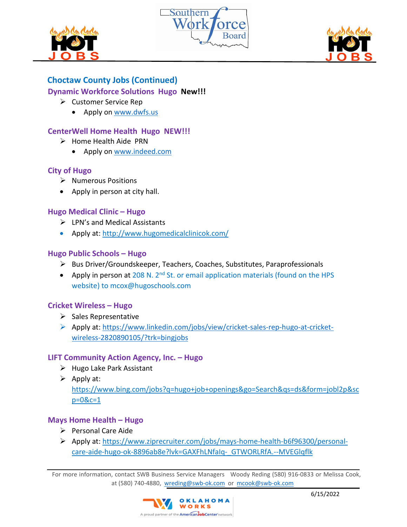





# **Choctaw County Jobs (Continued)**

## **Dynamic Workforce Solutions Hugo New!!!**

- $\triangleright$  Customer Service Rep
	- Apply on [www.dwfs.us](http://www.dwfs.us/)

## **CenterWell Home Health Hugo NEW!!!**

- $\triangleright$  Home Health Aide PRN
	- Apply on [www.indeed.com](http://www.indeed.com/)

## **City of Hugo**

- $\triangleright$  Numerous Positions
- Apply in person at city hall.

## **Hugo Medical Clinic – Hugo**

- LPN's and Medical Assistants
- Apply at:<http://www.hugomedicalclinicok.com/>

### **Hugo Public Schools – Hugo**

- Bus Driver/Groundskeeper, Teachers, Coaches, Substitutes, Paraprofessionals
- Apply in person at 208 N. 2<sup>nd</sup> St. or email application materials (found on the HPS website) to mcox@hugoschools.com

### **Cricket Wireless – Hugo**

- $\triangleright$  Sales Representative
- Apply at: [https://www.linkedin.com/jobs/view/cricket-sales-rep-hugo-at-cricket](https://www.linkedin.com/jobs/view/cricket-sales-rep-hugo-at-cricket-wireless-2820890105/?trk=bingjobs)[wireless-2820890105/?trk=bingjobs](https://www.linkedin.com/jobs/view/cricket-sales-rep-hugo-at-cricket-wireless-2820890105/?trk=bingjobs)

### **LIFT Community Action Agency, Inc. – Hugo**

- $\triangleright$  Hugo Lake Park Assistant
- $\triangleright$  Apply at:

https://www.bing.com/jobs?q=hugo+job+openings&go=Search&qs=ds&form=jobl2p&sc p=0&c=1

## **Mays Home Health – Hugo**

- $\triangleright$  Personal Care Aide
- Apply at: https://www.ziprecruiter.com/jobs/mays-home-health-b6f96300/personalcare-aide-hugo-ok-8896ab8e?lvk=GAXFhLNfaIq-\_GTWORLRfA.--MVEGlqflk

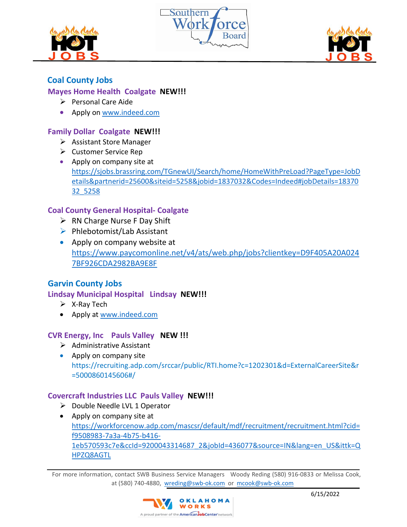





# **Coal County Jobs**

## **Mayes Home Health Coalgate NEW!!!**

- $\triangleright$  Personal Care Aide
- Apply on [www.indeed.com](http://www.indeed.com/)

### **Family Dollar Coalgate NEW!!!**

- $\triangleright$  Assistant Store Manager
- Customer Service Rep
- Apply on company site at [https://sjobs.brassring.com/TGnewUI/Search/home/HomeWithPreLoad?PageType=JobD](https://sjobs.brassring.com/TGnewUI/Search/home/HomeWithPreLoad?PageType=JobDetails&partnerid=25600&siteid=5258&jobid=1837032&Codes=Indeed#jobDetails=1837032_5258) [etails&partnerid=25600&siteid=5258&jobid=1837032&Codes=Indeed#jobDetails=18370](https://sjobs.brassring.com/TGnewUI/Search/home/HomeWithPreLoad?PageType=JobDetails&partnerid=25600&siteid=5258&jobid=1837032&Codes=Indeed#jobDetails=1837032_5258) [32\\_5258](https://sjobs.brassring.com/TGnewUI/Search/home/HomeWithPreLoad?PageType=JobDetails&partnerid=25600&siteid=5258&jobid=1837032&Codes=Indeed#jobDetails=1837032_5258)

## **Coal County General Hospital- Coalgate**

- $\triangleright$  RN Charge Nurse F Day Shift
- $\triangleright$  Phlebotomist/Lab Assistant
- Apply on company website at [https://www.paycomonline.net/v4/ats/web.php/jobs?clientkey=D9F405A20A024](https://www.paycomonline.net/v4/ats/web.php/jobs?clientkey=D9F405A20A0247BF926CDA2982BA9E8F) [7BF926CDA2982BA9E8F](https://www.paycomonline.net/v4/ats/web.php/jobs?clientkey=D9F405A20A0247BF926CDA2982BA9E8F)

## **Garvin County Jobs**

### **Lindsay Municipal Hospital Lindsay NEW!!!**

- $\triangleright$  X-Ray Tech
- Apply at [www.indeed.com](http://www.indeed.com/)

### **CVR Energy, Inc Pauls Valley NEW !!!**

- $\triangleright$  Administrative Assistant
- Apply on company site https://recruiting.adp.com/srccar/public/RTI.home?c=1202301&d=ExternalCareerSite&r =5000860145606#/

### **Covercraft Industries LLC Pauls Valley NEW!!!**

- $\triangleright$  Double Needle LVL 1 Operator
- Apply on company site at [https://workforcenow.adp.com/mascsr/default/mdf/recruitment/recruitment.html?cid=](https://workforcenow.adp.com/mascsr/default/mdf/recruitment/recruitment.html?cid=f9508983-7a3a-4b75-b416-1eb570593c7e&ccId=9200043314687_2&jobId=436077&source=IN&lang=en_US&ittk=QHPZQ8AGTL) [f9508983-7a3a-4b75-b416-](https://workforcenow.adp.com/mascsr/default/mdf/recruitment/recruitment.html?cid=f9508983-7a3a-4b75-b416-1eb570593c7e&ccId=9200043314687_2&jobId=436077&source=IN&lang=en_US&ittk=QHPZQ8AGTL) [1eb570593c7e&ccId=9200043314687\\_2&jobId=436077&source=IN&lang=en\\_US&ittk=Q](https://workforcenow.adp.com/mascsr/default/mdf/recruitment/recruitment.html?cid=f9508983-7a3a-4b75-b416-1eb570593c7e&ccId=9200043314687_2&jobId=436077&source=IN&lang=en_US&ittk=QHPZQ8AGTL) [HPZQ8AGTL](https://workforcenow.adp.com/mascsr/default/mdf/recruitment/recruitment.html?cid=f9508983-7a3a-4b75-b416-1eb570593c7e&ccId=9200043314687_2&jobId=436077&source=IN&lang=en_US&ittk=QHPZQ8AGTL)

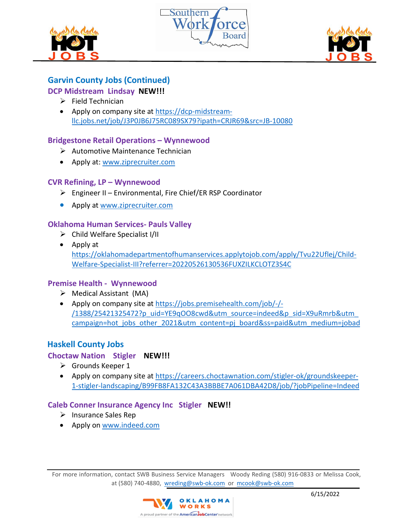





# **Garvin County Jobs (Continued)**

## **DCP Midstream Lindsay NEW!!!**

- $\triangleright$  Field Technician
- Apply on company site at [https://dcp-midstream](https://dcp-midstream-llc.jobs.net/job/J3P0JB6J75RC089SX79?ipath=CRJR69&src=JB-10080)[llc.jobs.net/job/J3P0JB6J75RC089SX79?ipath=CRJR69&src=JB-10080](https://dcp-midstream-llc.jobs.net/job/J3P0JB6J75RC089SX79?ipath=CRJR69&src=JB-10080)

## **Bridgestone Retail Operations – Wynnewood**

- $\triangleright$  Automotive Maintenance Technician
- Apply at: [www.ziprecruiter.com](http://www.ziprecruiter.com/)

### **CVR Refining, LP – Wynnewood**

- $\triangleright$  Engineer II Environmental, Fire Chief/ER RSP Coordinator
- Apply at [www.ziprecruiter.com](http://www.ziprecruiter.com/)

## **Oklahoma Human Services- Pauls Valley**

- $\triangleright$  Child Welfare Specialist I/II
- Apply at [https://oklahomadepartmentofhumanservices.applytojob.com/apply/Tvu22Uflej/Child-](https://oklahomadepartmentofhumanservices.applytojob.com/apply/Tvu22Uflej/Child-Welfare-Specialist-III?referrer=20220526130536FUXZILKCLOTZ3S4C)[Welfare-Specialist-III?referrer=20220526130536FUXZILKCLOTZ3S4C](https://oklahomadepartmentofhumanservices.applytojob.com/apply/Tvu22Uflej/Child-Welfare-Specialist-III?referrer=20220526130536FUXZILKCLOTZ3S4C)

### **Premise Health - Wynnewood**

- $\triangleright$  Medical Assistant (MA)
- Apply on company site at [https://jobs.premisehealth.com/job/-/-](https://jobs.premisehealth.com/job/-/-/1388/25421325472?p_uid=YE9qOO8cwd&utm_source=indeed&p_sid=X9uRmrb&utm_campaign=hot_jobs_other_2021&utm_content=pj_board&ss=paid&utm_medium=jobad) [/1388/25421325472?p\\_uid=YE9qOO8cwd&utm\\_source=indeed&p\\_sid=X9uRmrb&utm\\_](https://jobs.premisehealth.com/job/-/-/1388/25421325472?p_uid=YE9qOO8cwd&utm_source=indeed&p_sid=X9uRmrb&utm_campaign=hot_jobs_other_2021&utm_content=pj_board&ss=paid&utm_medium=jobad) campaign=hot jobs other 2021&utm content=pj\_board&ss=paid&utm\_medium=jobad

## **Haskell County Jobs**

### **Choctaw Nation Stigler NEW!!!**

- Grounds Keeper 1
- Apply on company site at [https://careers.choctawnation.com/stigler-ok/groundskeeper-](https://careers.choctawnation.com/stigler-ok/groundskeeper-1-stigler-landscaping/B99FB8FA132C43A3BBBE7A061DBA42D8/job/?jobPipeline=Indeed)[1-stigler-landscaping/B99FB8FA132C43A3BBBE7A061DBA42D8/job/?jobPipeline=Indeed](https://careers.choctawnation.com/stigler-ok/groundskeeper-1-stigler-landscaping/B99FB8FA132C43A3BBBE7A061DBA42D8/job/?jobPipeline=Indeed)

### **Caleb Conner Insurance Agency Inc Stigler NEW!!**

- $\triangleright$  Insurance Sales Rep
- Apply on [www.indeed.com](http://www.indeed.com/)

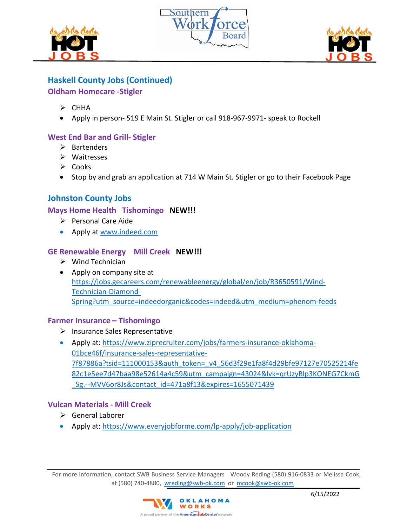





# **Haskell County Jobs (Continued)**

**Oldham Homecare -Stigler** 

- $\triangleright$  CHHA
- Apply in person- 519 E Main St. Stigler or call 918-967-9971- speak to Rockell

# **West End Bar and Grill- Stigler**

- $\triangleright$  Bartenders
- Waitresses
- $\triangleright$  Cooks
- Stop by and grab an application at 714 W Main St. Stigler or go to their Facebook Page

# **Johnston County Jobs**

### **Mays Home Health Tishomingo NEW!!!**

- $\triangleright$  Personal Care Aide
- Apply at [www.indeed.com](http://www.indeed.com/)

## **GE Renewable Energy Mill Creek NEW!!!**

- $\triangleright$  Wind Technician
- Apply on company site at [https://jobs.gecareers.com/renewableenergy/global/en/job/R3650591/Wind-](https://jobs.gecareers.com/renewableenergy/global/en/job/R3650591/Wind-Technician-Diamond-Spring?utm_source=indeedorganic&codes=indeed&utm_medium=phenom-feeds)[Technician-Diamond-](https://jobs.gecareers.com/renewableenergy/global/en/job/R3650591/Wind-Technician-Diamond-Spring?utm_source=indeedorganic&codes=indeed&utm_medium=phenom-feeds)[Spring?utm\\_source=indeedorganic&codes=indeed&utm\\_medium=phenom-feeds](https://jobs.gecareers.com/renewableenergy/global/en/job/R3650591/Wind-Technician-Diamond-Spring?utm_source=indeedorganic&codes=indeed&utm_medium=phenom-feeds)

### **Farmer Insurance – Tishomingo**

- $\triangleright$  Insurance Sales Representative
- Apply at: [https://www.ziprecruiter.com/jobs/farmers-insurance-oklahoma-](https://www.ziprecruiter.com/jobs/farmers-insurance-oklahoma-01bce46f/insurance-sales-representative-7f87886a?tsid=111000153&auth_token=_v4_56d3f29e1fa8f4d29bfe97127e70525214fe82c1e5ee7d47baa98e52614a4c59&utm_campaign=43024&lvk=qrUzyBlp3KONEG7CkmG_Sg.--MVV6or8Js&contact_id=471a8f13&expires=1655071439)[01bce46f/insurance-sales-representative-](https://www.ziprecruiter.com/jobs/farmers-insurance-oklahoma-01bce46f/insurance-sales-representative-7f87886a?tsid=111000153&auth_token=_v4_56d3f29e1fa8f4d29bfe97127e70525214fe82c1e5ee7d47baa98e52614a4c59&utm_campaign=43024&lvk=qrUzyBlp3KONEG7CkmG_Sg.--MVV6or8Js&contact_id=471a8f13&expires=1655071439)[7f87886a?tsid=111000153&auth\\_token=\\_v4\\_56d3f29e1fa8f4d29bfe97127e70525214fe](https://www.ziprecruiter.com/jobs/farmers-insurance-oklahoma-01bce46f/insurance-sales-representative-7f87886a?tsid=111000153&auth_token=_v4_56d3f29e1fa8f4d29bfe97127e70525214fe82c1e5ee7d47baa98e52614a4c59&utm_campaign=43024&lvk=qrUzyBlp3KONEG7CkmG_Sg.--MVV6or8Js&contact_id=471a8f13&expires=1655071439) [82c1e5ee7d47baa98e52614a4c59&utm\\_campaign=43024&lvk=qrUzyBlp3KONEG7CkmG](https://www.ziprecruiter.com/jobs/farmers-insurance-oklahoma-01bce46f/insurance-sales-representative-7f87886a?tsid=111000153&auth_token=_v4_56d3f29e1fa8f4d29bfe97127e70525214fe82c1e5ee7d47baa98e52614a4c59&utm_campaign=43024&lvk=qrUzyBlp3KONEG7CkmG_Sg.--MVV6or8Js&contact_id=471a8f13&expires=1655071439) [\\_Sg.--MVV6or8Js&contact\\_id=471a8f13&expires=1655071439](https://www.ziprecruiter.com/jobs/farmers-insurance-oklahoma-01bce46f/insurance-sales-representative-7f87886a?tsid=111000153&auth_token=_v4_56d3f29e1fa8f4d29bfe97127e70525214fe82c1e5ee7d47baa98e52614a4c59&utm_campaign=43024&lvk=qrUzyBlp3KONEG7CkmG_Sg.--MVV6or8Js&contact_id=471a8f13&expires=1655071439)

## **Vulcan Materials - Mill Creek**

- General Laborer
- Apply at:<https://www.everyjobforme.com/lp-apply/job-application>

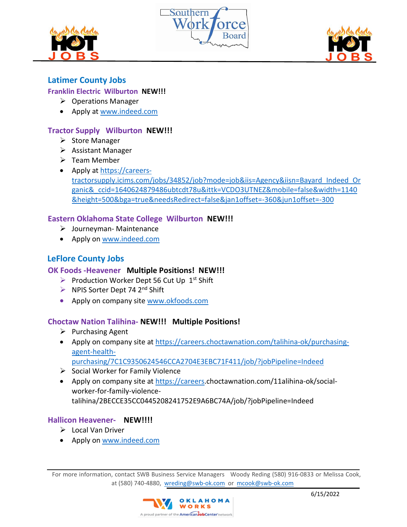





# **Latimer County Jobs**

## **Franklin Electric Wilburton NEW!!!**

- $\triangleright$  Operations Manager
- Apply at [www.indeed.com](http://www.indeed.com/)

## **Tractor Supply Wilburton NEW!!!**

- $\triangleright$  Store Manager
- $\triangleright$  Assistant Manager
- $\triangleright$  Team Member
- Apply at [https://careers](https://careers-tractorsupply.icims.com/jobs/34852/job?mode=job&iis=Agency&iisn=Bayard_Indeed_Organic&_ccid=1640624879486ubtcdt78u&ittk=VCDO3UTNEZ&mobile=false&width=1140&height=500&bga=true&needsRedirect=false&jan1offset=-360&jun1offset=-300)[tractorsupply.icims.com/jobs/34852/job?mode=job&iis=Agency&iisn=Bayard\\_Indeed\\_Or](https://careers-tractorsupply.icims.com/jobs/34852/job?mode=job&iis=Agency&iisn=Bayard_Indeed_Organic&_ccid=1640624879486ubtcdt78u&ittk=VCDO3UTNEZ&mobile=false&width=1140&height=500&bga=true&needsRedirect=false&jan1offset=-360&jun1offset=-300) [ganic&\\_ccid=1640624879486ubtcdt78u&ittk=VCDO3UTNEZ&mobile=false&width=1140](https://careers-tractorsupply.icims.com/jobs/34852/job?mode=job&iis=Agency&iisn=Bayard_Indeed_Organic&_ccid=1640624879486ubtcdt78u&ittk=VCDO3UTNEZ&mobile=false&width=1140&height=500&bga=true&needsRedirect=false&jan1offset=-360&jun1offset=-300) [&height=500&bga=true&needsRedirect=false&jan1offset=-360&jun1offset=-300](https://careers-tractorsupply.icims.com/jobs/34852/job?mode=job&iis=Agency&iisn=Bayard_Indeed_Organic&_ccid=1640624879486ubtcdt78u&ittk=VCDO3UTNEZ&mobile=false&width=1140&height=500&bga=true&needsRedirect=false&jan1offset=-360&jun1offset=-300)

## **Eastern Oklahoma State College Wilburton NEW!!!**

- Journeyman- Maintenance
- Apply on [www.indeed.com](http://www.indeed.com/)

# **LeFlore County Jobs**

## **OK Foods -Heavener Multiple Positions! NEW!!!**

- Production Worker Dept 56 Cut Up  $1<sup>st</sup>$  Shift
- $\triangleright$  NPIS Sorter Dept 74 2<sup>nd</sup> Shift
- Apply on company site [www.okfoods.com](http://www.okfoods.com/)

### **Choctaw Nation Talihina- NEW!!! Multiple Positions!**

- $\triangleright$  Purchasing Agent
- Apply on company site at [https://careers.choctawnation.com/talihina-ok/purchasing](https://careers.choctawnation.com/talihina-ok/purchasing-agent-health-purchasing/7C1C9350624546CCA2704E3EBC71F411/job/?jobPipeline=Indeed)[agent-health-](https://careers.choctawnation.com/talihina-ok/purchasing-agent-health-purchasing/7C1C9350624546CCA2704E3EBC71F411/job/?jobPipeline=Indeed)

[purchasing/7C1C9350624546CCA2704E3EBC71F411/job/?jobPipeline=Indeed](https://careers.choctawnation.com/talihina-ok/purchasing-agent-health-purchasing/7C1C9350624546CCA2704E3EBC71F411/job/?jobPipeline=Indeed)

- $\triangleright$  Social Worker for Family Violence
- Apply on company site at [https://careers.](https://careers/)choctawnation.com/11alihina-ok/socialworker-for-family-violencetalihina/2BECCE35CC0445208241752E9A6BC74A/job/?jobPipeline=Indeed

## **Hallicon Heavener- NEW!!!!**

- $\triangleright$  Local Van Driver
- Apply on [www.indeed.com](http://www.indeed.com/)

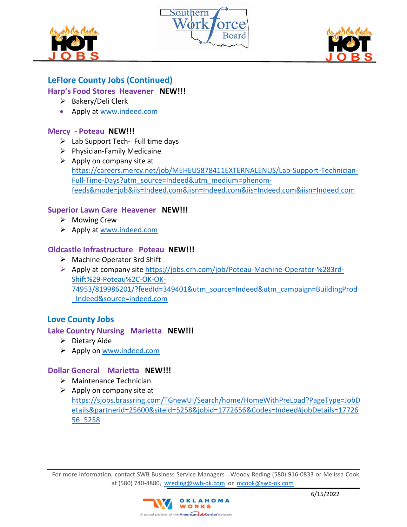





# **LeFlore County Jobs (Continued)**

## **Harp's Food Stores Heavener NEW!!!**

- $\triangleright$  Bakery/Deli Clerk
- Apply at [www.indeed.com](http://www.indeed.com/)

## **Mercy - Poteau NEW!!!**

- $\triangleright$  Lab Support Tech- Full time days
- $\triangleright$  Physician-Family Medicaine
- $\triangleright$  Apply on company site at [https://careers.mercy.net/job/MEHEUS878411EXTERNALENUS/Lab-Support-Technician-](https://careers.mercy.net/job/MEHEUS878411EXTERNALENUS/Lab-Support-Technician-Full-Time-Days?utm_source=Indeed&utm_medium=phenom-feeds&mode=job&iis=Indeed.com&iisn=Indeed.com&iis=Indeed.com&iisn=Indeed.com)[Full-Time-Days?utm\\_source=Indeed&utm\\_medium=phenom](https://careers.mercy.net/job/MEHEUS878411EXTERNALENUS/Lab-Support-Technician-Full-Time-Days?utm_source=Indeed&utm_medium=phenom-feeds&mode=job&iis=Indeed.com&iisn=Indeed.com&iis=Indeed.com&iisn=Indeed.com)[feeds&mode=job&iis=Indeed.com&iisn=Indeed.com&iis=Indeed.com&iisn=Indeed.com](https://careers.mercy.net/job/MEHEUS878411EXTERNALENUS/Lab-Support-Technician-Full-Time-Days?utm_source=Indeed&utm_medium=phenom-feeds&mode=job&iis=Indeed.com&iisn=Indeed.com&iis=Indeed.com&iisn=Indeed.com)

## **Superior Lawn Care Heavener NEW!!!**

- $\triangleright$  Mowing Crew
- $\triangleright$  Apply at [www.indeed.com](http://www.indeed.com/)

## **Oldcastle Infrastructure Poteau NEW!!!**

- Machine Operator 3rd Shift
- Apply at company site [https://jobs.crh.com/job/Poteau-Machine-Operator-%283rd-](https://jobs.crh.com/job/Poteau-Machine-Operator-%283rd-Shift%29-Poteau%2C-OK-OK-74953/819986201/?feedId=349401&utm_source=Indeed&utm_campaign=BuildingProd_Indeed&source=indeed.com)[Shift%29-Poteau%2C-OK-OK-](https://jobs.crh.com/job/Poteau-Machine-Operator-%283rd-Shift%29-Poteau%2C-OK-OK-74953/819986201/?feedId=349401&utm_source=Indeed&utm_campaign=BuildingProd_Indeed&source=indeed.com)[74953/819986201/?feedId=349401&utm\\_source=Indeed&utm\\_campaign=BuildingProd](https://jobs.crh.com/job/Poteau-Machine-Operator-%283rd-Shift%29-Poteau%2C-OK-OK-74953/819986201/?feedId=349401&utm_source=Indeed&utm_campaign=BuildingProd_Indeed&source=indeed.com) [\\_Indeed&source=indeed.com](https://jobs.crh.com/job/Poteau-Machine-Operator-%283rd-Shift%29-Poteau%2C-OK-OK-74953/819986201/?feedId=349401&utm_source=Indeed&utm_campaign=BuildingProd_Indeed&source=indeed.com)

# **Love County Jobs**

## **Lake Country Nursing Marietta NEW!!!**

- $\triangleright$  Dietary Aide
- $\triangleright$  Apply on [www.indeed.com](http://www.indeed.com/)

## **Dollar General Marietta NEW!!!**

- $\triangleright$  Maintenance Technician
- $\triangleright$  Apply on company site at [https://sjobs.brassring.com/TGnewUI/Search/home/HomeWithPreLoad?PageType=JobD](https://sjobs.brassring.com/TGnewUI/Search/home/HomeWithPreLoad?PageType=JobDetails&partnerid=25600&siteid=5258&jobid=1772656&Codes=Indeed#jobDetails=1772656_5258) [etails&partnerid=25600&siteid=5258&jobid=1772656&Codes=Indeed#jobDetails=17726](https://sjobs.brassring.com/TGnewUI/Search/home/HomeWithPreLoad?PageType=JobDetails&partnerid=25600&siteid=5258&jobid=1772656&Codes=Indeed#jobDetails=1772656_5258) [56\\_5258](https://sjobs.brassring.com/TGnewUI/Search/home/HomeWithPreLoad?PageType=JobDetails&partnerid=25600&siteid=5258&jobid=1772656&Codes=Indeed#jobDetails=1772656_5258)

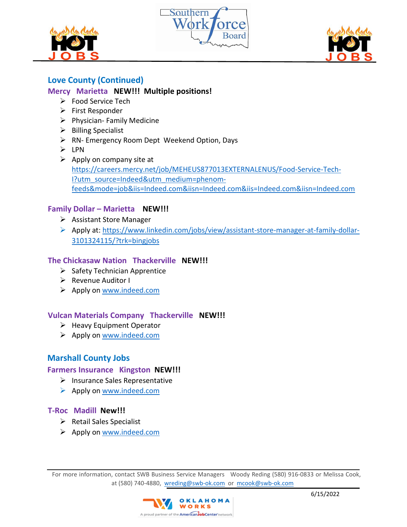





# **Love County (Continued)**

### **Mercy Marietta NEW!!! Multiple positions!**

- $\triangleright$  Food Service Tech
- $\triangleright$  First Responder
- $\triangleright$  Physician- Family Medicine
- $\triangleright$  Billing Specialist
- ▶ RN- Emergency Room Dept Weekend Option, Days
- $\triangleright$  LPN
- $\triangleright$  Apply on company site at [https://careers.mercy.net/job/MEHEUS877013EXTERNALENUS/Food-Service-Tech-](https://careers.mercy.net/job/MEHEUS877013EXTERNALENUS/Food-Service-Tech-I?utm_source=Indeed&utm_medium=phenom-feeds&mode=job&iis=Indeed.com&iisn=Indeed.com&iis=Indeed.com&iisn=Indeed.com)[I?utm\\_source=Indeed&utm\\_medium=phenom](https://careers.mercy.net/job/MEHEUS877013EXTERNALENUS/Food-Service-Tech-I?utm_source=Indeed&utm_medium=phenom-feeds&mode=job&iis=Indeed.com&iisn=Indeed.com&iis=Indeed.com&iisn=Indeed.com)[feeds&mode=job&iis=Indeed.com&iisn=Indeed.com&iis=Indeed.com&iisn=Indeed.com](https://careers.mercy.net/job/MEHEUS877013EXTERNALENUS/Food-Service-Tech-I?utm_source=Indeed&utm_medium=phenom-feeds&mode=job&iis=Indeed.com&iisn=Indeed.com&iis=Indeed.com&iisn=Indeed.com)

### **Family Dollar – Marietta NEW!!!**

- $\triangleright$  Assistant Store Manager
- Apply at: [https://www.linkedin.com/jobs/view/assistant-store-manager-at-family-dollar-](https://www.linkedin.com/jobs/view/assistant-store-manager-at-family-dollar-3101324115/?trk=bingjobs)[3101324115/?trk=bingjobs](https://www.linkedin.com/jobs/view/assistant-store-manager-at-family-dollar-3101324115/?trk=bingjobs)

## **The Chickasaw Nation Thackerville NEW!!!**

- $\triangleright$  Safety Technician Apprentice
- $\triangleright$  Revenue Auditor I
- ▶ Apply on [www.indeed.com](http://www.indeed.com/)

## **Vulcan Materials Company Thackerville NEW!!!**

- $\triangleright$  Heavy Equipment Operator
- $\triangleright$  Apply on [www.indeed.com](http://www.indeed.com/)

## **Marshall County Jobs**

### **Farmers Insurance Kingston NEW!!!**

- $\triangleright$  Insurance Sales Representative
- Apply on [www.indeed.com](http://www.indeed.com/)

### **T-Roc Madill New!!!**

- $\triangleright$  Retail Sales Specialist
- $\triangleright$  Apply on [www.indeed.com](http://www.indeed.com/)

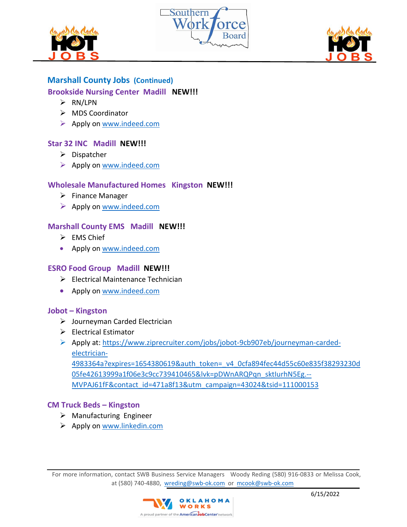





# **Marshall County Jobs (Continued)**

## **Brookside Nursing Center Madill NEW!!!**

- $\triangleright$  RN/LPN
- > MDS Coordinator
- $\triangleright$  Apply on [www.indeed.com](http://www.indeed.com/)

## **Star 32 INC Madill NEW!!!**

- $\triangleright$  Dispatcher
- ▶ Apply on [www.indeed.com](http://www.indeed.com/)

## **Wholesale Manufactured Homes Kingston NEW!!!**

- $\triangleright$  Finance Manager
- $\triangleright$  Apply on [www.indeed.com](http://www.indeed.com/)

## **Marshall County EMS Madill NEW!!!**

- $\triangleright$  EMS Chief
- Apply on [www.indeed.com](http://www.indeed.com/)

## **ESRO Food Group Madill NEW!!!**

- $\triangleright$  Electrical Maintenance Technician
- Apply on [www.indeed.com](http://www.indeed.com/)

### **Jobot – Kingston**

- Journeyman Carded Electrician
- $\triangleright$  Electrical Estimator
- Apply at: [https://www.ziprecruiter.com/jobs/jobot-9cb907eb/journeyman-carded](https://www.ziprecruiter.com/jobs/jobot-9cb907eb/journeyman-carded-electrician-4983364a?expires=1654380619&auth_token=_v4_0cfa894fec44d55c60e835f38293230d05fe42613999a1f06e3c9cc739410465&lvk=pDWnARQPqn_sktIurhN5Eg.--MVPAJ61fF&contact_id=471a8f13&utm_campaign=43024&tsid=111000153)[electrician-](https://www.ziprecruiter.com/jobs/jobot-9cb907eb/journeyman-carded-electrician-4983364a?expires=1654380619&auth_token=_v4_0cfa894fec44d55c60e835f38293230d05fe42613999a1f06e3c9cc739410465&lvk=pDWnARQPqn_sktIurhN5Eg.--MVPAJ61fF&contact_id=471a8f13&utm_campaign=43024&tsid=111000153)

[4983364a?expires=1654380619&auth\\_token=\\_v4\\_0cfa894fec44d55c60e835f38293230d](https://www.ziprecruiter.com/jobs/jobot-9cb907eb/journeyman-carded-electrician-4983364a?expires=1654380619&auth_token=_v4_0cfa894fec44d55c60e835f38293230d05fe42613999a1f06e3c9cc739410465&lvk=pDWnARQPqn_sktIurhN5Eg.--MVPAJ61fF&contact_id=471a8f13&utm_campaign=43024&tsid=111000153) 05fe42613999a1f06e3c9cc739410465&lvk=pDWnARQPqn sktIurhN5Eg .--[MVPAJ61fF&contact\\_id=471a8f13&utm\\_campaign=43024&tsid=111000153](https://www.ziprecruiter.com/jobs/jobot-9cb907eb/journeyman-carded-electrician-4983364a?expires=1654380619&auth_token=_v4_0cfa894fec44d55c60e835f38293230d05fe42613999a1f06e3c9cc739410465&lvk=pDWnARQPqn_sktIurhN5Eg.--MVPAJ61fF&contact_id=471a8f13&utm_campaign=43024&tsid=111000153)

### **CM Truck Beds – Kingston**

- $\triangleright$  Manufacturing Engineer
- $\triangleright$  Apply on [www.linkedin.com](http://www.linkedin.com/)

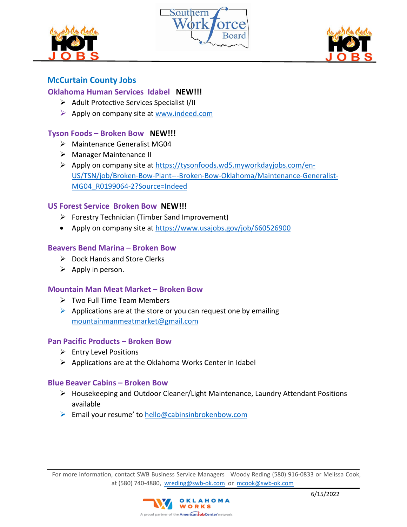





# **McCurtain County Jobs**

### **Oklahoma Human Services Idabel NEW!!!**

- $\triangleright$  Adult Protective Services Specialist I/II
- $\triangleright$  Apply on company site at [www.indeed.com](http://www.indeed.com/)

## **Tyson Foods – Broken Bow NEW!!!**

- Maintenance Generalist MG04
- > Manager Maintenance II
- ▶ Apply on company site at [https://tysonfoods.wd5.myworkdayjobs.com/en-](https://tysonfoods.wd5.myworkdayjobs.com/en-US/TSN/job/Broken-Bow-Plant---Broken-Bow-Oklahoma/Maintenance-Generalist-MG04_R0199064-2?Source=Indeed)[US/TSN/job/Broken-Bow-Plant---Broken-Bow-Oklahoma/Maintenance-Generalist-](https://tysonfoods.wd5.myworkdayjobs.com/en-US/TSN/job/Broken-Bow-Plant---Broken-Bow-Oklahoma/Maintenance-Generalist-MG04_R0199064-2?Source=Indeed)[MG04\\_R0199064-2?Source=Indeed](https://tysonfoods.wd5.myworkdayjobs.com/en-US/TSN/job/Broken-Bow-Plant---Broken-Bow-Oklahoma/Maintenance-Generalist-MG04_R0199064-2?Source=Indeed)

### **US Forest Service Broken Bow NEW!!!**

- $\triangleright$  Forestry Technician (Timber Sand Improvement)
- Apply on company site at<https://www.usajobs.gov/job/660526900>

#### **Beavers Bend Marina – Broken Bow**

- $\triangleright$  Dock Hands and Store Clerks
- $\triangleright$  Apply in person.

#### **Mountain Man Meat Market – Broken Bow**

- $\triangleright$  Two Full Time Team Members
- $\triangleright$  Applications are at the store or you can request one by emailing [mountainmanmeatmarket@gmail.com](mailto:mountainmanmeatmarket@gmail.com)

#### **Pan Pacific Products – Broken Bow**

- $\triangleright$  Entry Level Positions
- $\triangleright$  Applications are at the Oklahoma Works Center in Idabel

#### **Blue Beaver Cabins – Broken Bow**

- Housekeeping and Outdoor Cleaner/Light Maintenance, Laundry Attendant Positions available
- Email your resume' to  $h$ ello@cabinsinbrokenbow.com

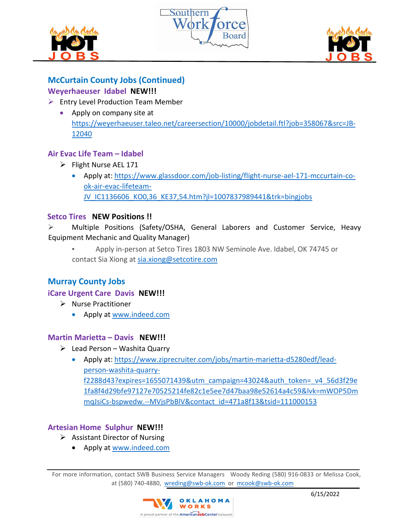





# **McCurtain County Jobs (Continued)**

## **Weyerhaeuser Idabel NEW!!!**

## $\triangleright$  Entry Level Production Team Member

• Apply on company site at [https://weyerhaeuser.taleo.net/careersection/10000/jobdetail.ftl?job=358067&src=JB-](https://weyerhaeuser.taleo.net/careersection/10000/jobdetail.ftl?job=358067&src=JB-12040)[12040](https://weyerhaeuser.taleo.net/careersection/10000/jobdetail.ftl?job=358067&src=JB-12040)

# **Air Evac Life Team – Idabel**

- Flight Nurse AEL 171
	- Apply at: [https://www.glassdoor.com/job-listing/flight-nurse-ael-171-mccurtain-co](https://www.glassdoor.com/job-listing/flight-nurse-ael-171-mccurtain-co-ok-air-evac-lifeteam-JV_IC1136606_KO0,36_KE37,54.htm?jl=1007837989441&trk=bingjobs)[ok-air-evac-lifeteam-](https://www.glassdoor.com/job-listing/flight-nurse-ael-171-mccurtain-co-ok-air-evac-lifeteam-JV_IC1136606_KO0,36_KE37,54.htm?jl=1007837989441&trk=bingjobs)[JV\\_IC1136606\\_KO0,36\\_KE37,54.htm?jl=1007837989441&trk=bingjobs](https://www.glassdoor.com/job-listing/flight-nurse-ael-171-mccurtain-co-ok-air-evac-lifeteam-JV_IC1136606_KO0,36_KE37,54.htm?jl=1007837989441&trk=bingjobs)

## **Setco Tires NEW Positions !!**

 Multiple Positions (Safety/OSHA, General Laborers and Customer Service, Heavy Equipment Mechanic and Quality Manager)

• Apply in-person at Setco Tires 1803 NW Seminole Ave. Idabel, OK 74745 or contact Sia Xiong at sia.xiong@setcotire.com

# **Murray County Jobs**

## **iCare Urgent Care Davis NEW!!!**

- ▶ Nurse Practitioner
	- Apply at [www.indeed.com](http://www.indeed.com/)

### **Martin Marietta – Davis NEW!!!**

- $\triangleright$  Lead Person Washita Quarry
	- Apply at: [https://www.ziprecruiter.com/jobs/martin-marietta-d5280edf/lead](https://www.ziprecruiter.com/jobs/martin-marietta-d5280edf/lead-person-washita-quarry-f2288d43?expires=1655071439&utm_campaign=43024&auth_token=_v4_56d3f29e1fa8f4d29bfe97127e70525214fe82c1e5ee7d47baa98e52614a4c59&lvk=mWOP5DmmqJsiCs-bspwedw.--MVjsPbBlV&contact_id=471a8f13&tsid=111000153)[person-washita-quarry](https://www.ziprecruiter.com/jobs/martin-marietta-d5280edf/lead-person-washita-quarry-f2288d43?expires=1655071439&utm_campaign=43024&auth_token=_v4_56d3f29e1fa8f4d29bfe97127e70525214fe82c1e5ee7d47baa98e52614a4c59&lvk=mWOP5DmmqJsiCs-bspwedw.--MVjsPbBlV&contact_id=471a8f13&tsid=111000153)[f2288d43?expires=1655071439&utm\\_campaign=43024&auth\\_token=\\_v4\\_56d3f29e](https://www.ziprecruiter.com/jobs/martin-marietta-d5280edf/lead-person-washita-quarry-f2288d43?expires=1655071439&utm_campaign=43024&auth_token=_v4_56d3f29e1fa8f4d29bfe97127e70525214fe82c1e5ee7d47baa98e52614a4c59&lvk=mWOP5DmmqJsiCs-bspwedw.--MVjsPbBlV&contact_id=471a8f13&tsid=111000153) [1fa8f4d29bfe97127e70525214fe82c1e5ee7d47baa98e52614a4c59&lvk=mWOP5Dm](https://www.ziprecruiter.com/jobs/martin-marietta-d5280edf/lead-person-washita-quarry-f2288d43?expires=1655071439&utm_campaign=43024&auth_token=_v4_56d3f29e1fa8f4d29bfe97127e70525214fe82c1e5ee7d47baa98e52614a4c59&lvk=mWOP5DmmqJsiCs-bspwedw.--MVjsPbBlV&contact_id=471a8f13&tsid=111000153) [mqJsiCs-bspwedw.--MVjsPbBlV&contact\\_id=471a8f13&tsid=111000153](https://www.ziprecruiter.com/jobs/martin-marietta-d5280edf/lead-person-washita-quarry-f2288d43?expires=1655071439&utm_campaign=43024&auth_token=_v4_56d3f29e1fa8f4d29bfe97127e70525214fe82c1e5ee7d47baa98e52614a4c59&lvk=mWOP5DmmqJsiCs-bspwedw.--MVjsPbBlV&contact_id=471a8f13&tsid=111000153)

## **Artesian Home Sulphur NEW!!!**

- $\triangleright$  Assistant Director of Nursing
	- Apply at [www.indeed.com](http://www.indeed.com/)

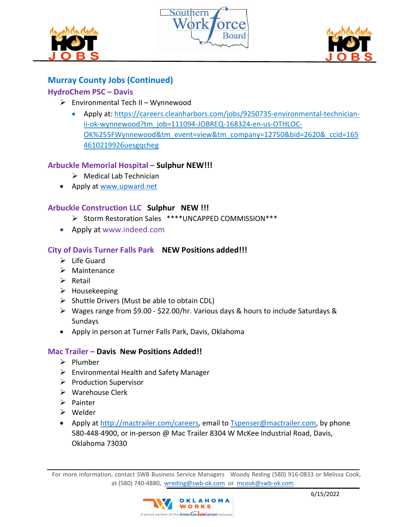





# **Murray County Jobs (Continued)**

# **HydroChem PSC – Davis**

- $\triangleright$  Environmental Tech II Wynnewood
	- Apply at: https://careers.cleanharbors.com/jobs/9250735-environmental-technicianii-ok-wynnewood?tm\_job=111094-JOBREQ-168324-en-us-OTHLOC-OK%255FWynnewood&tm\_event=view&tm\_company=12750&bid=2620&\_ccid=165 4610219926uesgqcheg

## **Arbuckle Memorial Hospital – Sulphur NEW!!!**

- Medical Lab Technician
- Apply at [www.upward.net](http://www.upward.net/)

## **Arbuckle Construction LLC Sulphur NEW !!!**

- > Storm Restoration Sales \*\*\*\*UNCAPPED COMMISSION\*\*\*
- Apply at www.indeed.com

# **City of Davis Turner Falls Park NEW Positions added!!!**

- $\triangleright$  Life Guard
- $\triangleright$  Maintenance
- $\triangleright$  Retail
- $\triangleright$  Housekeeping
- $\triangleright$  Shuttle Drivers (Must be able to obtain CDL)
- Wages range from \$9.00 \$22.00/hr. Various days & hours to include Saturdays & Sundays
- Apply in person at Turner Falls Park, Davis, Oklahoma

## **Mac Trailer – Davis New Positions Added!!**

- $\triangleright$  Plumber
- Environmental Health and Safety Manager
- $\triangleright$  Production Supervisor
- Warehouse Clerk
- $\triangleright$  Painter
- Welder
- Apply at [http://mactrailer.com/careers,](http://mactrailer.com/careers) email to [Tspenser@mactrailer.com,](mailto:Tspenser@mactrailer.com) by phone 580-448-4900, or in-person @ Mac Trailer 8304 W McKee Industrial Road, Davis, Oklahoma 73030

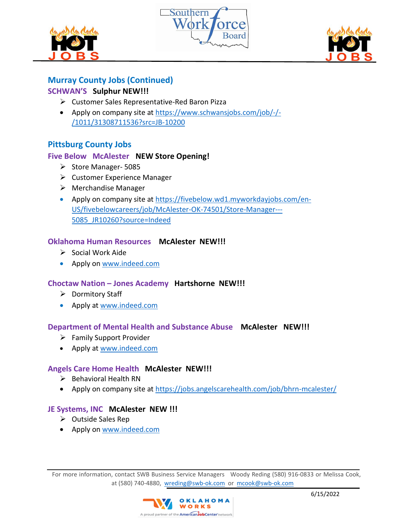





# **Murray County Jobs (Continued)**

## **SCHWAN'S Sulphur NEW!!!**

- Customer Sales Representative-Red Baron Pizza
- Apply on company site at [https://www.schwansjobs.com/job/-/-](https://www.schwansjobs.com/job/-/-/1011/31308711536?src=JB-10200) [/1011/31308711536?src=JB-10200](https://www.schwansjobs.com/job/-/-/1011/31308711536?src=JB-10200)

# **Pittsburg County Jobs**

## **Five Below McAlester NEW Store Opening!**

- $\triangleright$  Store Manager- 5085
- $\triangleright$  Customer Experience Manager
- $\triangleright$  Merchandise Manager
- Apply on company site at [https://fivebelow.wd1.myworkdayjobs.com/en-](https://fivebelow.wd1.myworkdayjobs.com/en-US/fivebelowcareers/job/McAlester-OK-74501/Store-Manager---5085_JR10260?source=Indeed)[US/fivebelowcareers/job/McAlester-OK-74501/Store-Manager---](https://fivebelow.wd1.myworkdayjobs.com/en-US/fivebelowcareers/job/McAlester-OK-74501/Store-Manager---5085_JR10260?source=Indeed) [5085\\_JR10260?source=Indeed](https://fivebelow.wd1.myworkdayjobs.com/en-US/fivebelowcareers/job/McAlester-OK-74501/Store-Manager---5085_JR10260?source=Indeed)

### **Oklahoma Human Resources McAlester NEW!!!**

- $\triangleright$  Social Work Aide
- Apply on [www.indeed.com](http://www.indeed.com/)

### **Choctaw Nation – Jones Academy Hartshorne NEW!!!**

- $\triangleright$  Dormitory Staff
- Apply at [www.indeed.com](http://www.indeed.com/)

### **Department of Mental Health and Substance Abuse McAlester NEW!!!**

- Family Support Provider
- Apply at [www.indeed.com](http://www.indeed.com/)

### **Angels Care Home Health McAlester NEW!!!**

- $\triangleright$  Behavioral Health RN
- Apply on company site at<https://jobs.angelscarehealth.com/job/bhrn-mcalester/>

### **JE Systems, INC McAlester NEW !!!**

- $\triangleright$  Outside Sales Rep
- Apply on [www.indeed.com](http://www.indeed.com/)

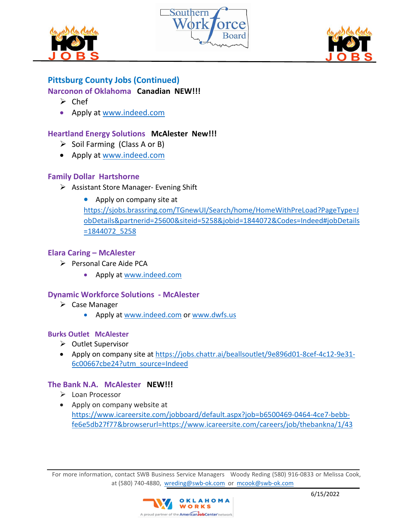





# **Pittsburg County Jobs (Continued)**

## **Narconon of Oklahoma Canadian NEW!!!**

- $\triangleright$  Chef
- Apply at [www.indeed.com](http://www.indeed.com/)

## **Heartland Energy Solutions McAlester New!!!**

- $\triangleright$  Soil Farming (Class A or B)
- Apply at [www.indeed.com](http://www.indeed.com/)

### **Family Dollar Hartshorne**

- $\triangleright$  Assistant Store Manager- Evening Shift
	- Apply on company site at

[https://sjobs.brassring.com/TGnewUI/Search/home/HomeWithPreLoad?PageType=J](https://sjobs.brassring.com/TGnewUI/Search/home/HomeWithPreLoad?PageType=JobDetails&partnerid=25600&siteid=5258&jobid=1844072&Codes=Indeed#jobDetails=1844072_5258) [obDetails&partnerid=25600&siteid=5258&jobid=1844072&Codes=Indeed#jobDetails](https://sjobs.brassring.com/TGnewUI/Search/home/HomeWithPreLoad?PageType=JobDetails&partnerid=25600&siteid=5258&jobid=1844072&Codes=Indeed#jobDetails=1844072_5258) [=1844072\\_5258](https://sjobs.brassring.com/TGnewUI/Search/home/HomeWithPreLoad?PageType=JobDetails&partnerid=25600&siteid=5258&jobid=1844072&Codes=Indeed#jobDetails=1844072_5258)

### **Elara Caring – McAlester**

- $\triangleright$  Personal Care Aide PCA
	- Apply at [www.indeed.com](http://www.indeed.com/)

### **Dynamic Workforce Solutions - McAlester**

- $\triangleright$  Case Manager
	- Apply at [www.indeed.com](http://www.indeed.com/) or [www.dwfs.us](http://www.dwfs.us/)

### **Burks Outlet McAlester**

- ▶ Outlet Supervisor
- Apply on company site at [https://jobs.chattr.ai/beallsoutlet/9e896d01-8cef-4c12-9e31-](https://jobs.chattr.ai/beallsoutlet/9e896d01-8cef-4c12-9e31-6c00667cbe24?utm_source=Indeed) [6c00667cbe24?utm\\_source=Indeed](https://jobs.chattr.ai/beallsoutlet/9e896d01-8cef-4c12-9e31-6c00667cbe24?utm_source=Indeed)

### **The Bank N.A. McAlester NEW!!!**

- Loan Processor
- Apply on company website at [https://www.icareersite.com/jobboard/default.aspx?job=b6500469-0464-4ce7-bebb](https://www.icareersite.com/jobboard/default.aspx?job=b6500469-0464-4ce7-bebb-fe6e5db27f77&browserurl=https://www.icareersite.com/careers/job/thebankna/1/43)[fe6e5db27f77&browserurl=https://www.icareersite.com/careers/job/thebankna/1/43](https://www.icareersite.com/jobboard/default.aspx?job=b6500469-0464-4ce7-bebb-fe6e5db27f77&browserurl=https://www.icareersite.com/careers/job/thebankna/1/43)

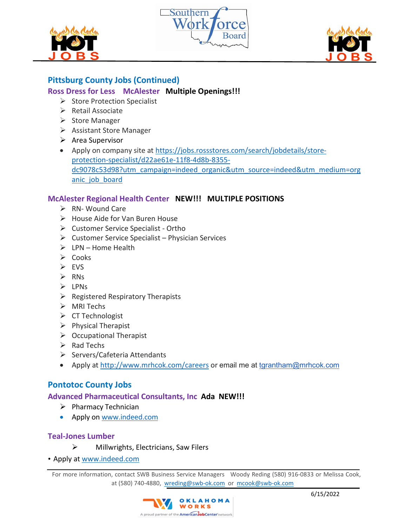





# **Pittsburg County Jobs (Continued)**

## **Ross Dress for Less McAlester Multiple Openings!!!**

- $\triangleright$  Store Protection Specialist
- $\triangleright$  Retail Associate
- $\triangleright$  Store Manager
- $\triangleright$  Assistant Store Manager
- $\triangleright$  Area Supervisor
- Apply on company site at [https://jobs.rossstores.com/search/jobdetails/store](https://jobs.rossstores.com/search/jobdetails/store-protection-specialist/d22ae61e-11f8-4d8b-8355-dc9078c53d98?utm_campaign=indeed_organic&utm_source=indeed&utm_medium=organic_job_board)[protection-specialist/d22ae61e-11f8-4d8b-8355](https://jobs.rossstores.com/search/jobdetails/store-protection-specialist/d22ae61e-11f8-4d8b-8355-dc9078c53d98?utm_campaign=indeed_organic&utm_source=indeed&utm_medium=organic_job_board) [dc9078c53d98?utm\\_campaign=indeed\\_organic&utm\\_source=indeed&utm\\_medium=org](https://jobs.rossstores.com/search/jobdetails/store-protection-specialist/d22ae61e-11f8-4d8b-8355-dc9078c53d98?utm_campaign=indeed_organic&utm_source=indeed&utm_medium=organic_job_board) anic job board

## **McAlester Regional Health Center NEW!!! MULTIPLE POSITIONS**

- ▶ RN- Wound Care
- $\triangleright$  House Aide for Van Buren House
- $\triangleright$  Customer Service Specialist Ortho
- $\triangleright$  Customer Service Specialist Physician Services
- $\triangleright$  LPN Home Health
- $\triangleright$  Cooks
- EVS
- $\triangleright$  RNs
- $\triangleright$  LPNs
- $\triangleright$  Registered Respiratory Therapists
- MRI Techs
- $\triangleright$  CT Technologist
- $\triangleright$  Physical Therapist
- $\triangleright$  Occupational Therapist
- $\triangleright$  Rad Techs
- $\triangleright$  Servers/Cafeteria Attendants
- Apply at<http://www.mrhcok.com/careers> or email me at [tgrantham@mrhcok.com](mailto:tgrantham@mrhcok.com)

### **Pontotoc County Jobs**

### **Advanced Pharmaceutical Consultants, Inc Ada NEW!!!**

- $\triangleright$  Pharmacy Technician
- Apply on [www.indeed.com](http://www.indeed.com/)

### **Teal-Jones Lumber**

- $\triangleright$  Millwrights, Electricians, Saw Filers
- Apply at [www.indeed.com](http://www.indeed.com/)

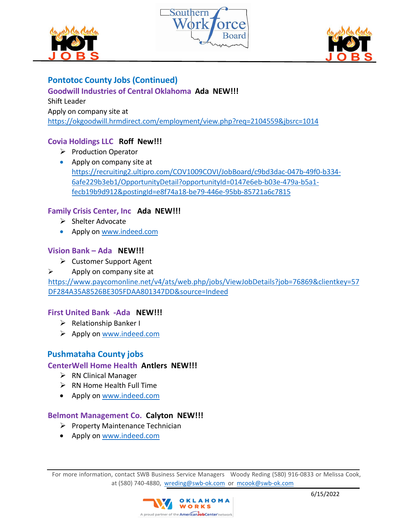





## **Pontotoc County Jobs (Continued)**

## **Goodwill Industries of Central Oklahoma Ada NEW!!!**

Shift Leader Apply on company site at <https://okgoodwill.hrmdirect.com/employment/view.php?req=2104559&jbsrc=1014>

## **Covia Holdings LLC Roff New!!!**

- $\triangleright$  Production Operator
- Apply on company site at [https://recruiting2.ultipro.com/COV1009COVI/JobBoard/c9bd3dac-047b-49f0-b334-](https://recruiting2.ultipro.com/COV1009COVI/JobBoard/c9bd3dac-047b-49f0-b334-6afe229b3eb1/OpportunityDetail?opportunityId=0147e6eb-b03e-479a-b5a1-fecb19b9d912&postingId=e8f74a18-be79-446e-95bb-85721a6c7815) [6afe229b3eb1/OpportunityDetail?opportunityId=0147e6eb-b03e-479a-b5a1](https://recruiting2.ultipro.com/COV1009COVI/JobBoard/c9bd3dac-047b-49f0-b334-6afe229b3eb1/OpportunityDetail?opportunityId=0147e6eb-b03e-479a-b5a1-fecb19b9d912&postingId=e8f74a18-be79-446e-95bb-85721a6c7815) [fecb19b9d912&postingId=e8f74a18-be79-446e-95bb-85721a6c7815](https://recruiting2.ultipro.com/COV1009COVI/JobBoard/c9bd3dac-047b-49f0-b334-6afe229b3eb1/OpportunityDetail?opportunityId=0147e6eb-b03e-479a-b5a1-fecb19b9d912&postingId=e8f74a18-be79-446e-95bb-85721a6c7815)

### **Family Crisis Center, Inc Ada NEW!!!**

- $\triangleright$  Shelter Advocate
- Apply on [www.indeed.com](http://www.indeed.com/)

### **Vision Bank – Ada NEW!!!**

- Customer Support Agent
- $\triangleright$  Apply on company site at

[https://www.paycomonline.net/v4/ats/web.php/jobs/ViewJobDetails?job=76869&clientkey=57](https://www.paycomonline.net/v4/ats/web.php/jobs/ViewJobDetails?job=76869&clientkey=57DF284A35A8526BE305FDAA801347DD&source=Indeed) [DF284A35A8526BE305FDAA801347DD&source=Indeed](https://www.paycomonline.net/v4/ats/web.php/jobs/ViewJobDetails?job=76869&clientkey=57DF284A35A8526BE305FDAA801347DD&source=Indeed)

### **First United Bank -Ada NEW!!!**

- $\triangleright$  Relationship Banker I
- $\triangleright$  Apply on [www.indeed.com](http://www.indeed.com/)

## **Pushmataha County jobs**

### **CenterWell Home Health Antlers NEW!!!**

- $\triangleright$  RN Clinical Manager
- $\triangleright$  RN Home Health Full Time
- Apply on [www.indeed.com](http://www.indeed.com/)

### **Belmont Management Co. Calyton NEW!!!**

- $\triangleright$  Property Maintenance Technician
- Apply on [www.indeed.com](http://www.indeed.com/)

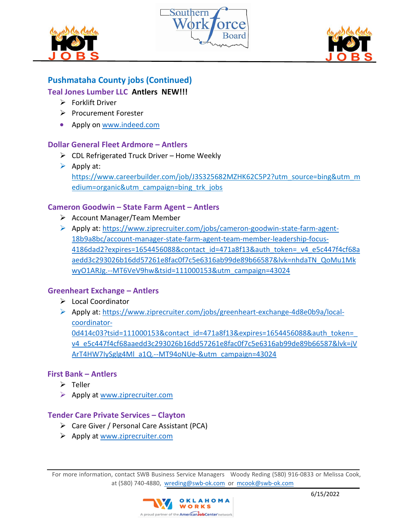





# **Pushmataha County jobs (Continued)**

## **Teal Jones Lumber LLC Antlers NEW!!!**

- $\triangleright$  Forklift Driver
- Procurement Forester
- Apply on www.indeed.com

## **Dollar General Fleet Ardmore – Antlers**

- $\triangleright$  CDL Refrigerated Truck Driver Home Weekly
- $\triangleright$  Apply at: https://www.careerbuilder.com/job/J3S325682MZHK62C5P2?utm\_source=bing&utm\_m edium=organic&utm\_campaign=bing\_trk\_jobs

## **Cameron Goodwin – State Farm Agent – Antlers**

- Account Manager/Team Member
- Apply at: https://www.ziprecruiter.com/jobs/cameron-goodwin-state-farm-agent-18b9a8bc/account-manager-state-farm-agent-team-member-leadership-focus-4186dad2?expires=1654456088&contact\_id=471a8f13&auth\_token=\_v4\_e5c447f4cf68a aedd3c293026b16dd57261e8fac0f7c5e6316ab99de89b66587&lvk=nhdaTN\_QoMu1Mk wyO1ARJg.--MT6VeV9hw&tsid=111000153&utm\_campaign=43024

## **Greenheart Exchange – Antlers**

- Local Coordinator
- Apply at: https://www.ziprecruiter.com/jobs/greenheart-exchange-4d8e0b9a/localcoordinator-0d414c03?tsid=111000153&contact\_id=471a8f13&expires=1654456088&auth\_token= v4\_e5c447f4cf68aaedd3c293026b16dd57261e8fac0f7c5e6316ab99de89b66587&lvk=jV ArT4HW7IySglg4Ml\_a1Q.--MT94oNUe-&utm\_campaign=43024

## **First Bank – Antlers**

- $\triangleright$  Teller
- ▶ Apply at www.ziprecruiter.com

### **Tender Care Private Services – Clayton**

- Care Giver / Personal Care Assistant (PCA)
- $\triangleright$  Apply at www.ziprecruiter.com

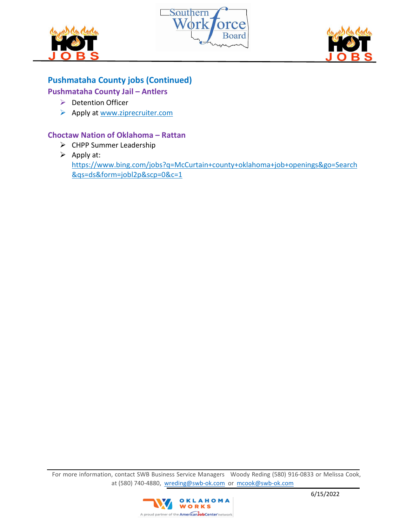





# **Pushmataha County jobs (Continued)**

## **Pushmataha County Jail – Antlers**

- $\triangleright$  Detention Officer
- Apply at www.ziprecruiter.com

## **Choctaw Nation of Oklahoma – Rattan**

- ▶ CHPP Summer Leadership
- $\triangleright$  Apply at: https://www.bing.com/jobs?q=McCurtain+county+oklahoma+job+openings&go=Search &qs=ds&form=jobl2p&scp=0&c=1